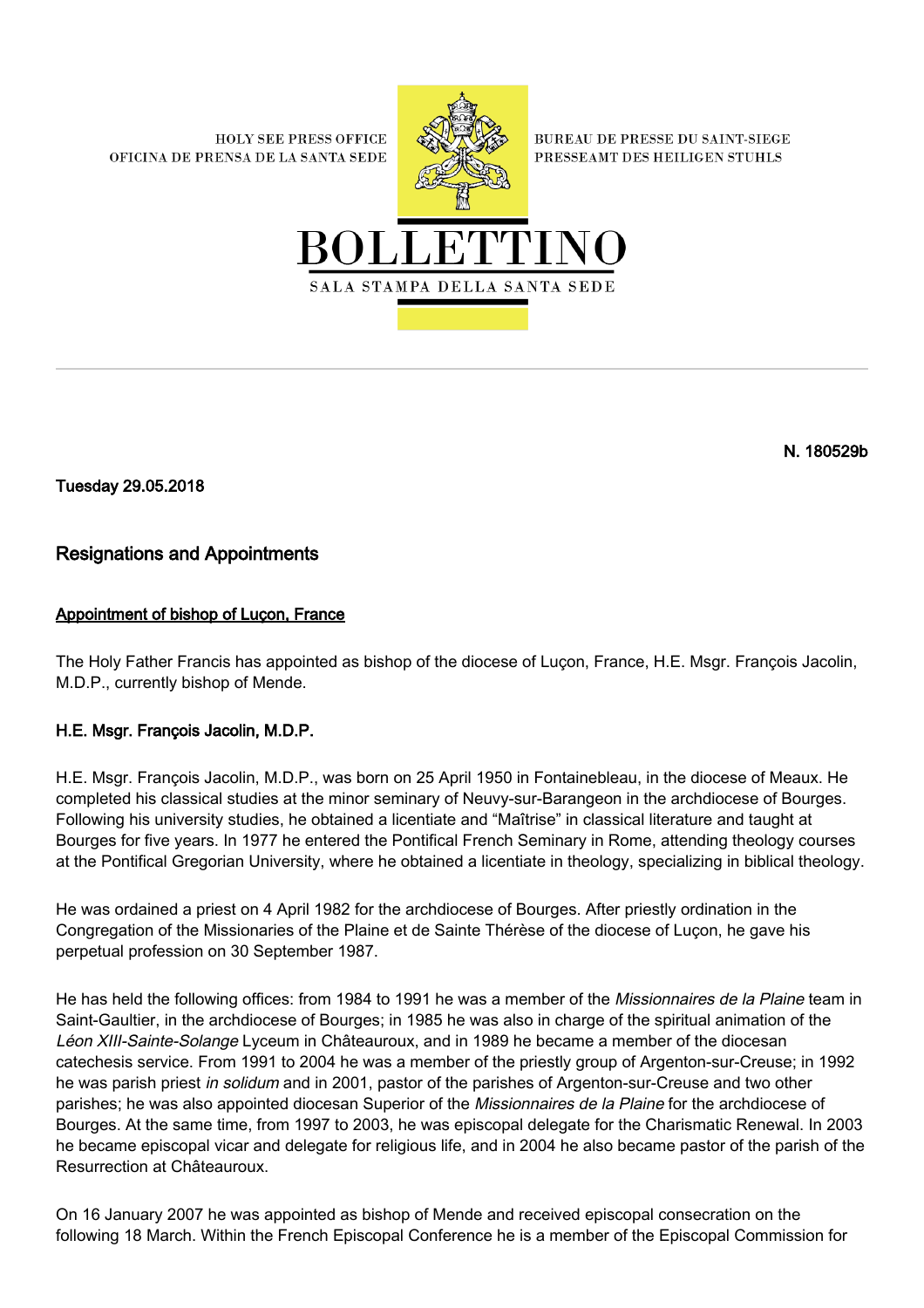**HOLY SEE PRESS OFFICE** OFICINA DE PRENSA DE LA SANTA SEDE



**BUREAU DE PRESSE DU SAINT-SIEGE** PRESSEAMT DES HEILIGEN STUHLS



N. 180529b

Tuesday 29.05.2018

## Resignations and Appointments

## Appointment of bishop of Luçon, France

The Holy Father Francis has appointed as bishop of the diocese of Luçon, France, H.E. Msgr. François Jacolin, M.D.P., currently bishop of Mende.

## H.E. Msgr. François Jacolin, M.D.P.

H.E. Msgr. François Jacolin, M.D.P., was born on 25 April 1950 in Fontainebleau, in the diocese of Meaux. He completed his classical studies at the minor seminary of Neuvy-sur-Barangeon in the archdiocese of Bourges. Following his university studies, he obtained a licentiate and "Maîtrise" in classical literature and taught at Bourges for five years. In 1977 he entered the Pontifical French Seminary in Rome, attending theology courses at the Pontifical Gregorian University, where he obtained a licentiate in theology, specializing in biblical theology.

He was ordained a priest on 4 April 1982 for the archdiocese of Bourges. After priestly ordination in the Congregation of the Missionaries of the Plaine et de Sainte Thérèse of the diocese of Luçon, he gave his perpetual profession on 30 September 1987.

He has held the following offices: from 1984 to 1991 he was a member of the Missionnaires de la Plaine team in Saint-Gaultier, in the archdiocese of Bourges; in 1985 he was also in charge of the spiritual animation of the Léon XIII-Sainte-Solange Lyceum in Châteauroux, and in 1989 he became a member of the diocesan catechesis service. From 1991 to 2004 he was a member of the priestly group of Argenton-sur-Creuse; in 1992 he was parish priest in solidum and in 2001, pastor of the parishes of Argenton-sur-Creuse and two other parishes; he was also appointed diocesan Superior of the Missionnaires de la Plaine for the archdiocese of Bourges. At the same time, from 1997 to 2003, he was episcopal delegate for the Charismatic Renewal. In 2003 he became episcopal vicar and delegate for religious life, and in 2004 he also became pastor of the parish of the Resurrection at Châteauroux.

On 16 January 2007 he was appointed as bishop of Mende and received episcopal consecration on the following 18 March. Within the French Episcopal Conference he is a member of the Episcopal Commission for